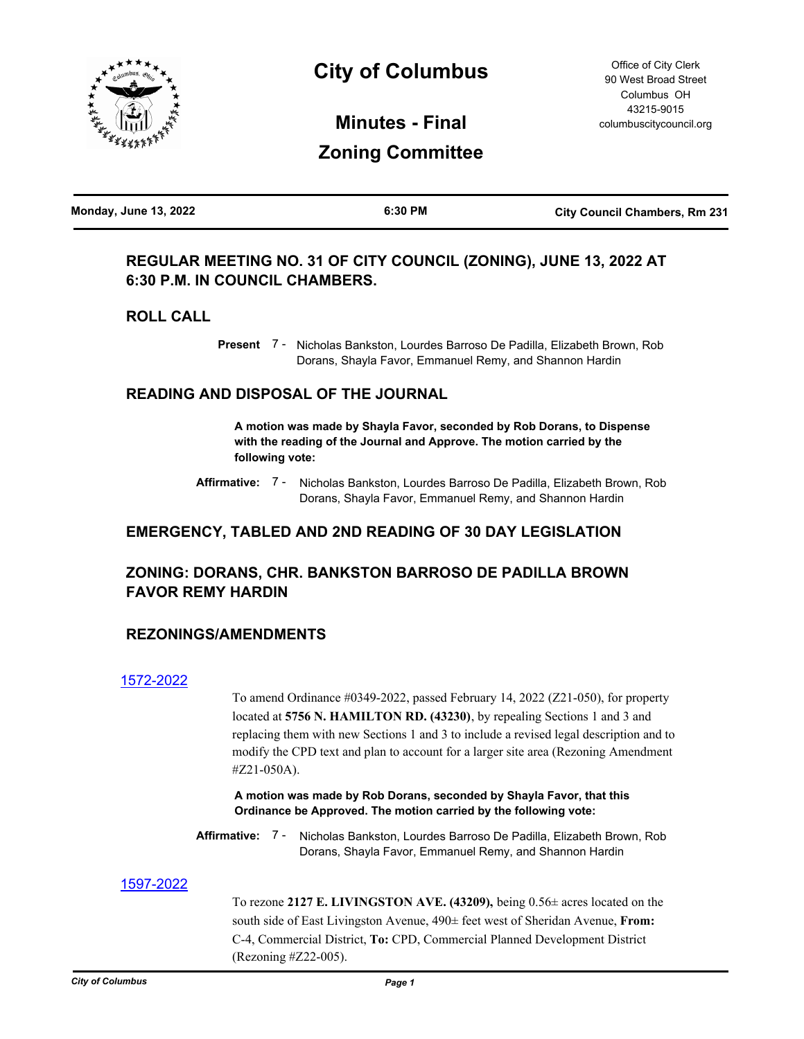

# **City of Columbus**

**Minutes - Final Zoning Committee**

# **REGULAR MEETING NO. 31 OF CITY COUNCIL (ZONING), JUNE 13, 2022 AT 6:30 P.M. IN COUNCIL CHAMBERS.**

## **ROLL CALL**

Present 7 - Nicholas Bankston, Lourdes Barroso De Padilla, Elizabeth Brown, Rob Dorans, Shayla Favor, Emmanuel Remy, and Shannon Hardin

## **READING AND DISPOSAL OF THE JOURNAL**

**A motion was made by Shayla Favor, seconded by Rob Dorans, to Dispense with the reading of the Journal and Approve. The motion carried by the following vote:**

Affirmative: 7 - Nicholas Bankston, Lourdes Barroso De Padilla, Elizabeth Brown, Rob Dorans, Shayla Favor, Emmanuel Remy, and Shannon Hardin

# **EMERGENCY, TABLED AND 2ND READING OF 30 DAY LEGISLATION**

# **ZONING: DORANS, CHR. BANKSTON BARROSO DE PADILLA BROWN FAVOR REMY HARDIN**

## **REZONINGS/AMENDMENTS**

## [1572-2022](http://columbus.legistar.com/gateway.aspx?m=l&id=/matter.aspx?key=123090)

To amend Ordinance #0349-2022, passed February 14, 2022 (Z21-050), for property located at **5756 N. HAMILTON RD. (43230)**, by repealing Sections 1 and 3 and replacing them with new Sections 1 and 3 to include a revised legal description and to modify the CPD text and plan to account for a larger site area (Rezoning Amendment #Z21-050A).

**A motion was made by Rob Dorans, seconded by Shayla Favor, that this Ordinance be Approved. The motion carried by the following vote:**

Affirmative: 7 - Nicholas Bankston, Lourdes Barroso De Padilla, Elizabeth Brown, Rob Dorans, Shayla Favor, Emmanuel Remy, and Shannon Hardin

## [1597-2022](http://columbus.legistar.com/gateway.aspx?m=l&id=/matter.aspx?key=123117)

To rezone **2127 E. LIVINGSTON AVE. (43209),** being 0.56± acres located on the south side of East Livingston Avenue, 490± feet west of Sheridan Avenue, **From:** C-4, Commercial District, **To:** CPD, Commercial Planned Development District (Rezoning #Z22-005).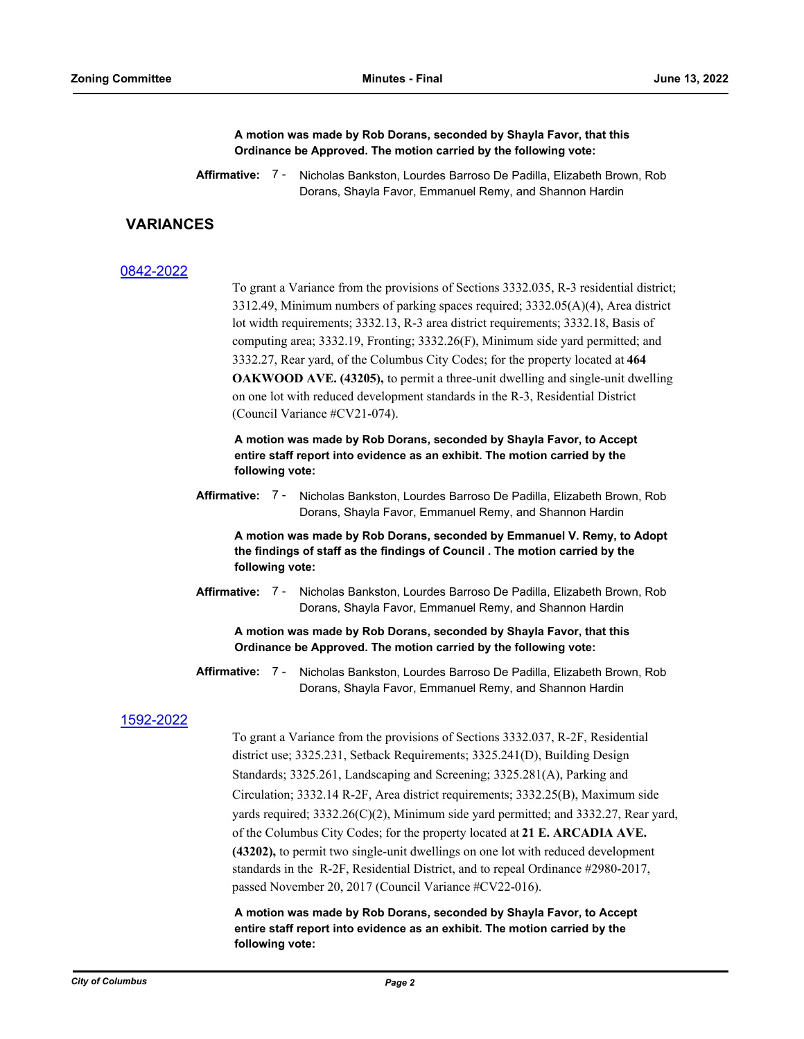**A motion was made by Rob Dorans, seconded by Shayla Favor, that this Ordinance be Approved. The motion carried by the following vote:**

## **VARIANCES**

#### [0842-2022](http://columbus.legistar.com/gateway.aspx?m=l&id=/matter.aspx?key=122354)

To grant a Variance from the provisions of Sections 3332.035, R-3 residential district; 3312.49, Minimum numbers of parking spaces required; 3332.05(A)(4), Area district lot width requirements; 3332.13, R-3 area district requirements; 3332.18, Basis of computing area; 3332.19, Fronting; 3332.26(F), Minimum side yard permitted; and 3332.27, Rear yard, of the Columbus City Codes; for the property located at **464 OAKWOOD AVE. (43205),** to permit a three-unit dwelling and single-unit dwelling on one lot with reduced development standards in the R-3, Residential District (Council Variance #CV21-074).

**A motion was made by Rob Dorans, seconded by Shayla Favor, to Accept entire staff report into evidence as an exhibit. The motion carried by the following vote:**

**Affirmative:** Nicholas Bankston, Lourdes Barroso De Padilla, Elizabeth Brown, Rob Dorans, Shayla Favor, Emmanuel Remy, and Shannon Hardin Affirmative: 7 -

**A motion was made by Rob Dorans, seconded by Emmanuel V. Remy, to Adopt the findings of staff as the findings of Council . The motion carried by the following vote:**

Affirmative: 7 - Nicholas Bankston, Lourdes Barroso De Padilla, Elizabeth Brown, Rob Dorans, Shayla Favor, Emmanuel Remy, and Shannon Hardin

**A motion was made by Rob Dorans, seconded by Shayla Favor, that this Ordinance be Approved. The motion carried by the following vote:**

Affirmative: 7 - Nicholas Bankston, Lourdes Barroso De Padilla, Elizabeth Brown, Rob Dorans, Shayla Favor, Emmanuel Remy, and Shannon Hardin

#### [1592-2022](http://columbus.legistar.com/gateway.aspx?m=l&id=/matter.aspx?key=123112)

To grant a Variance from the provisions of Sections 3332.037, R-2F, Residential district use; 3325.231, Setback Requirements; 3325.241(D), Building Design Standards; 3325.261, Landscaping and Screening; 3325.281(A), Parking and Circulation; 3332.14 R-2F, Area district requirements; 3332.25(B), Maximum side yards required; 3332.26(C)(2), Minimum side yard permitted; and 3332.27, Rear yard, of the Columbus City Codes; for the property located at **21 E. ARCADIA AVE. (43202),** to permit two single-unit dwellings on one lot with reduced development standards in the R-2F, Residential District, and to repeal Ordinance #2980-2017, passed November 20, 2017 (Council Variance #CV22-016).

**A motion was made by Rob Dorans, seconded by Shayla Favor, to Accept entire staff report into evidence as an exhibit. The motion carried by the following vote:**

Affirmative: 7 - Nicholas Bankston, Lourdes Barroso De Padilla, Elizabeth Brown, Rob Dorans, Shayla Favor, Emmanuel Remy, and Shannon Hardin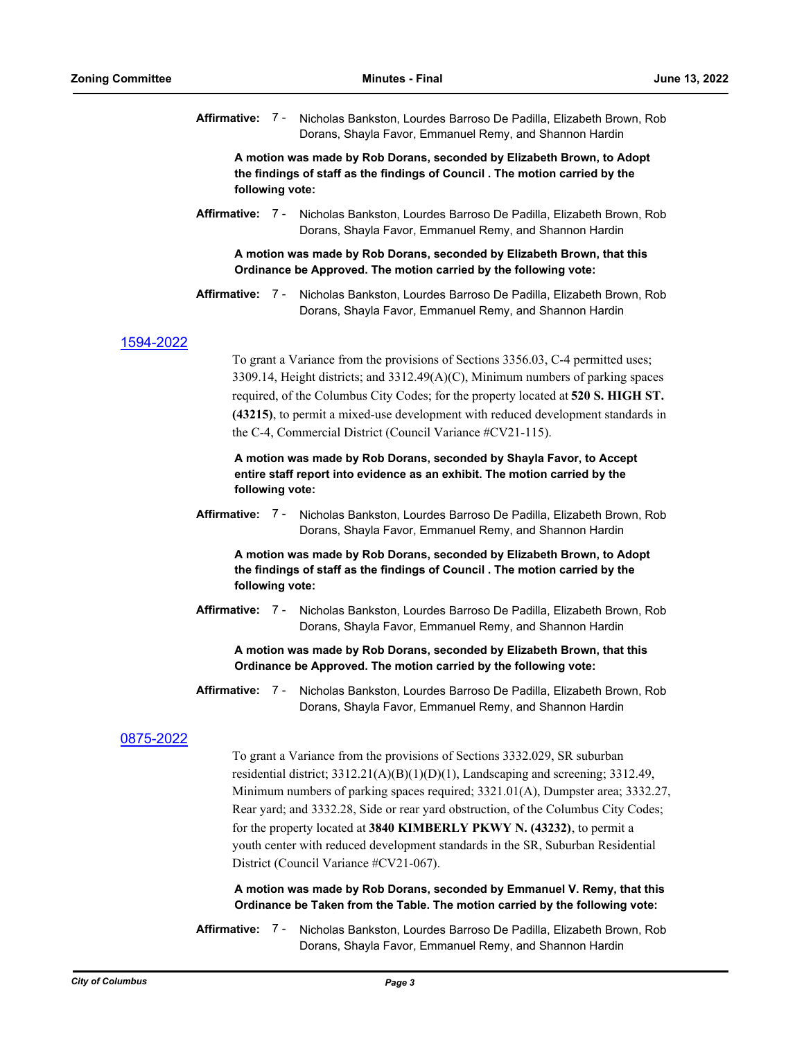**Affirmative:** Nicholas Bankston, Lourdes Barroso De Padilla, Elizabeth Brown, Rob Dorans, Shayla Favor, Emmanuel Remy, and Shannon Hardin Affirmative: 7 -

**A motion was made by Rob Dorans, seconded by Elizabeth Brown, to Adopt the findings of staff as the findings of Council . The motion carried by the following vote:**

Affirmative: 7 - Nicholas Bankston, Lourdes Barroso De Padilla, Elizabeth Brown, Rob Dorans, Shayla Favor, Emmanuel Remy, and Shannon Hardin

#### **A motion was made by Rob Dorans, seconded by Elizabeth Brown, that this Ordinance be Approved. The motion carried by the following vote:**

Affirmative: 7 - Nicholas Bankston, Lourdes Barroso De Padilla, Elizabeth Brown, Rob Dorans, Shayla Favor, Emmanuel Remy, and Shannon Hardin

#### [1594-2022](http://columbus.legistar.com/gateway.aspx?m=l&id=/matter.aspx?key=123114)

To grant a Variance from the provisions of Sections 3356.03, C-4 permitted uses;  $3309.14$ , Height districts; and  $3312.49(A)(C)$ , Minimum numbers of parking spaces required, of the Columbus City Codes; for the property located at **520 S. HIGH ST. (43215)**, to permit a mixed-use development with reduced development standards in the C-4, Commercial District (Council Variance #CV21-115).

**A motion was made by Rob Dorans, seconded by Shayla Favor, to Accept entire staff report into evidence as an exhibit. The motion carried by the following vote:**

Affirmative: 7 - Nicholas Bankston, Lourdes Barroso De Padilla, Elizabeth Brown, Rob Dorans, Shayla Favor, Emmanuel Remy, and Shannon Hardin

**A motion was made by Rob Dorans, seconded by Elizabeth Brown, to Adopt the findings of staff as the findings of Council . The motion carried by the following vote:**

**Affirmative:** Nicholas Bankston, Lourdes Barroso De Padilla, Elizabeth Brown, Rob Dorans, Shayla Favor, Emmanuel Remy, and Shannon Hardin Affirmative: 7 -

**A motion was made by Rob Dorans, seconded by Elizabeth Brown, that this Ordinance be Approved. The motion carried by the following vote:**

**Affirmative:** Nicholas Bankston, Lourdes Barroso De Padilla, Elizabeth Brown, Rob Dorans, Shayla Favor, Emmanuel Remy, and Shannon Hardin Affirmative: 7 -

### [0875-2022](http://columbus.legistar.com/gateway.aspx?m=l&id=/matter.aspx?key=122387)

To grant a Variance from the provisions of Sections 3332.029, SR suburban residential district;  $3312.21(A)(B)(1)(D)(1)$ , Landscaping and screening;  $3312.49$ , Minimum numbers of parking spaces required; 3321.01(A), Dumpster area; 3332.27, Rear yard; and 3332.28, Side or rear yard obstruction, of the Columbus City Codes; for the property located at **3840 KIMBERLY PKWY N. (43232)**, to permit a youth center with reduced development standards in the SR, Suburban Residential District (Council Variance #CV21-067).

#### **A motion was made by Rob Dorans, seconded by Emmanuel V. Remy, that this Ordinance be Taken from the Table. The motion carried by the following vote:**

Affirmative: 7 - Nicholas Bankston, Lourdes Barroso De Padilla, Elizabeth Brown, Rob Dorans, Shayla Favor, Emmanuel Remy, and Shannon Hardin